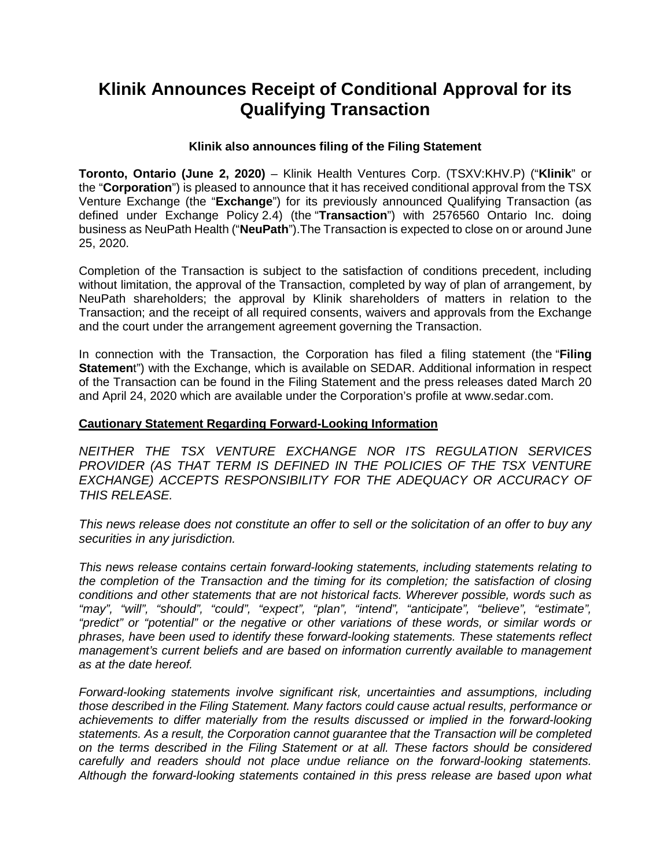## **Klinik Announces Receipt of Conditional Approval for its Qualifying Transaction**

## **Klinik also announces filing of the Filing Statement**

**Toronto, Ontario (June 2, 2020)** – Klinik Health Ventures Corp. (TSXV:KHV.P) ("**Klinik**" or the "**Corporation**") is pleased to announce that it has received conditional approval from the TSX Venture Exchange (the "**Exchange**") for its previously announced Qualifying Transaction (as defined under Exchange Policy 2.4) (the "**Transaction**") with 2576560 Ontario Inc. doing business as NeuPath Health ("**NeuPath**").The Transaction is expected to close on or around June 25, 2020.

Completion of the Transaction is subject to the satisfaction of conditions precedent, including without limitation, the approval of the Transaction, completed by way of plan of arrangement, by NeuPath shareholders; the approval by Klinik shareholders of matters in relation to the Transaction; and the receipt of all required consents, waivers and approvals from the Exchange and the court under the arrangement agreement governing the Transaction.

In connection with the Transaction, the Corporation has filed a filing statement (the "**Filing Statemen**t") with the Exchange, which is available on SEDAR. Additional information in respect of the Transaction can be found in the Filing Statement and the press releases dated March 20 and April 24, 2020 which are available under the Corporation's profile at www.sedar.com.

## **Cautionary Statement Regarding Forward-Looking Information**

*NEITHER THE TSX VENTURE EXCHANGE NOR ITS REGULATION SERVICES*  **PROVIDER (AS THAT TERM IS DEFINED IN THE POLICIES OF THE TSX VENTURE EXCHANGE) ACCEPTS RESPONSIBILITY FOR THE ADEQUACY OR ACCURACY OF** *THIS RELEASE.* 

*This news release does not constitute an offer to sell or the solicitation of an offer to buy any securities in any jurisdiction.* 

*This news release contains certain forward-looking statements, including statements relating to the completion of the Transaction and the timing for its completion; the satisfaction of closing conditions and other statements that are not historical facts. Wherever possible, words such as "may", "will", "should", "could", "expect", "plan", "intend", "anticipate", "believe", "estimate", "predict" or "potential" or the negative or other variations of these words, or similar words or phrases, have been used to identify these forward-looking statements. These statements reflect management's current beliefs and are based on information currently available to management as at the date hereof.* 

*Forward-looking statements involve significant risk, uncertainties and assumptions, including those described in the Filing Statement. Many factors could cause actual results, performance or achievements to differ materially from the results discussed or implied in the forward-looking statements. As a result, the Corporation cannot guarantee that the Transaction will be completed on the terms described in the Filing Statement or at all. These factors should be considered carefully and readers should not place undue reliance on the forward-looking statements. Although the forward-looking statements contained in this press release are based upon what*